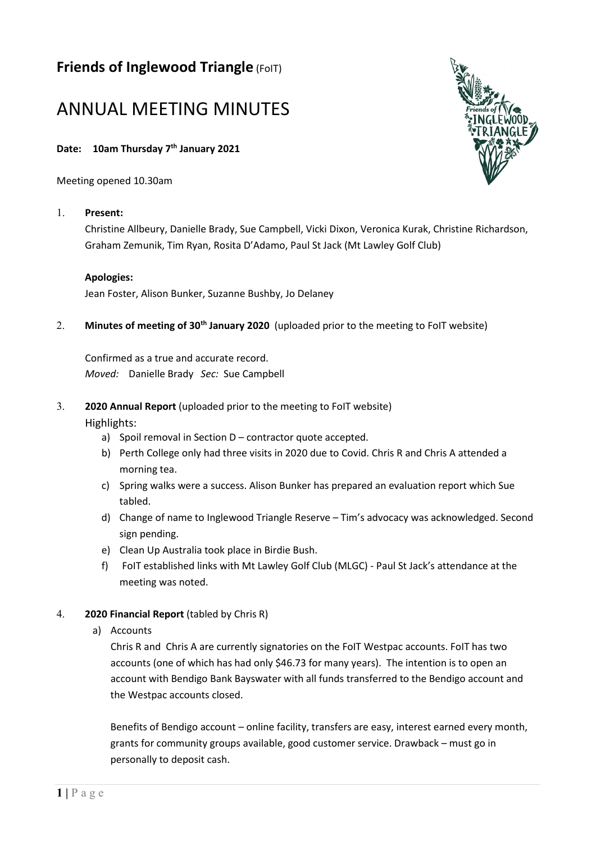# **Friends of Inglewood Triangle** (FoIT)

# ANNUAL MEETING MINUTES

#### **Date: 10am Thursday 7th January 2021**

Meeting opened 10.30am

#### 1. **Present:**

Christine Allbeury, Danielle Brady, Sue Campbell, Vicki Dixon, Veronica Kurak, Christine Richardson, Graham Zemunik, Tim Ryan, Rosita D'Adamo, Paul St Jack (Mt Lawley Golf Club)

#### **Apologies:**

Jean Foster, Alison Bunker, Suzanne Bushby, Jo Delaney

2. **Minutes of meeting of 30th January 2020** (uploaded prior to the meeting to FoIT website)

Confirmed as a true and accurate record. *Moved:* Danielle Brady *Sec:* Sue Campbell

#### 3. **2020 Annual Report** (uploaded prior to the meeting to FoIT website)

#### Highlights:

- a) Spoil removal in Section D contractor quote accepted.
- b) Perth College only had three visits in 2020 due to Covid. Chris R and Chris A attended a morning tea.
- c) Spring walks were a success. Alison Bunker has prepared an evaluation report which Sue tabled.
- d) Change of name to Inglewood Triangle Reserve Tim's advocacy was acknowledged. Second sign pending.
- e) Clean Up Australia took place in Birdie Bush.
- f) FoIT established links with Mt Lawley Golf Club (MLGC) Paul St Jack's attendance at the meeting was noted.

#### 4. **2020 Financial Report** (tabled by Chris R)

a) Accounts

Chris R and Chris A are currently signatories on the FoIT Westpac accounts. FoIT has two accounts (one of which has had only \$46.73 for many years). The intention is to open an account with Bendigo Bank Bayswater with all funds transferred to the Bendigo account and the Westpac accounts closed.

Benefits of Bendigo account – online facility, transfers are easy, interest earned every month, grants for community groups available, good customer service. Drawback – must go in personally to deposit cash.

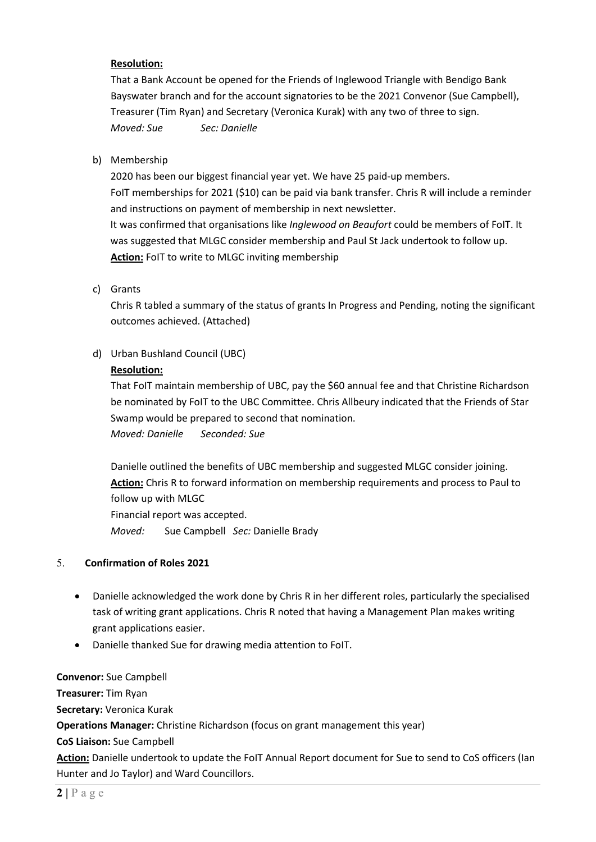#### **Resolution:**

That a Bank Account be opened for the Friends of Inglewood Triangle with Bendigo Bank Bayswater branch and for the account signatories to be the 2021 Convenor (Sue Campbell), Treasurer (Tim Ryan) and Secretary (Veronica Kurak) with any two of three to sign. *Moved: Sue Sec: Danielle*

b) Membership

2020 has been our biggest financial year yet. We have 25 paid-up members. FoIT memberships for 2021 (\$10) can be paid via bank transfer. Chris R will include a reminder and instructions on payment of membership in next newsletter. It was confirmed that organisations like *Inglewood on Beaufort* could be members of FoIT. It was suggested that MLGC consider membership and Paul St Jack undertook to follow up. **Action:** FoIT to write to MLGC inviting membership

c) Grants

Chris R tabled a summary of the status of grants In Progress and Pending, noting the significant outcomes achieved. (Attached)

d) Urban Bushland Council (UBC)

#### **Resolution:**

That FoIT maintain membership of UBC, pay the \$60 annual fee and that Christine Richardson be nominated by FoIT to the UBC Committee. Chris Allbeury indicated that the Friends of Star Swamp would be prepared to second that nomination. *Moved: Danielle Seconded: Sue*

Danielle outlined the benefits of UBC membership and suggested MLGC consider joining. **Action:** Chris R to forward information on membership requirements and process to Paul to follow up with MLGC Financial report was accepted. *Moved:* Sue Campbell *Sec:* Danielle Brady

#### 5. **Confirmation of Roles 2021**

- Danielle acknowledged the work done by Chris R in her different roles, particularly the specialised task of writing grant applications. Chris R noted that having a Management Plan makes writing grant applications easier.
- Danielle thanked Sue for drawing media attention to FoIT.

**Convenor:** Sue Campbell **Treasurer:** Tim Ryan **Secretary:** Veronica Kurak **Operations Manager:** Christine Richardson (focus on grant management this year) **CoS Liaison:** Sue Campbell

**Action:** Danielle undertook to update the FoIT Annual Report document for Sue to send to CoS officers (Ian Hunter and Jo Taylor) and Ward Councillors.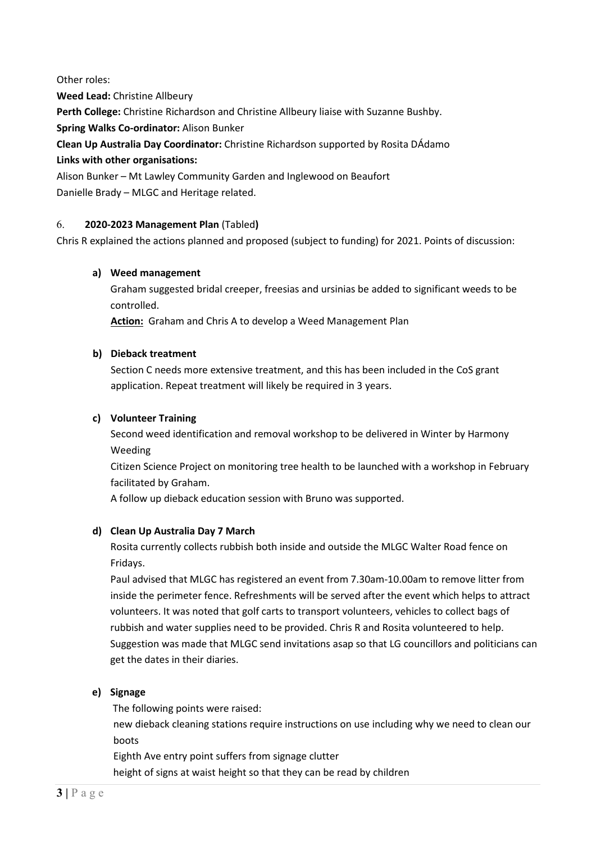Other roles:

**Weed Lead:** Christine Allbeury

**Perth College:** Christine Richardson and Christine Allbeury liaise with Suzanne Bushby.

**Spring Walks Co-ordinator:** Alison Bunker

**Clean Up Australia Day Coordinator:** Christine Richardson supported by Rosita DÁdamo

#### **Links with other organisations:**

Alison Bunker – Mt Lawley Community Garden and Inglewood on Beaufort

Danielle Brady – MLGC and Heritage related.

### 6. **2020-2023 Management Plan** (Tabled**)**

Chris R explained the actions planned and proposed (subject to funding) for 2021. Points of discussion:

#### **a) Weed management**

Graham suggested bridal creeper, freesias and ursinias be added to significant weeds to be controlled.

**Action:** Graham and Chris A to develop a Weed Management Plan

#### **b) Dieback treatment**

Section C needs more extensive treatment, and this has been included in the CoS grant application. Repeat treatment will likely be required in 3 years.

#### **c) Volunteer Training**

Second weed identification and removal workshop to be delivered in Winter by Harmony Weeding

Citizen Science Project on monitoring tree health to be launched with a workshop in February facilitated by Graham.

A follow up dieback education session with Bruno was supported.

#### **d) Clean Up Australia Day 7 March**

Rosita currently collects rubbish both inside and outside the MLGC Walter Road fence on Fridays.

Paul advised that MLGC has registered an event from 7.30am-10.00am to remove litter from inside the perimeter fence. Refreshments will be served after the event which helps to attract volunteers. It was noted that golf carts to transport volunteers, vehicles to collect bags of rubbish and water supplies need to be provided. Chris R and Rosita volunteered to help. Suggestion was made that MLGC send invitations asap so that LG councillors and politicians can get the dates in their diaries.

#### **e) Signage**

The following points were raised:

new dieback cleaning stations require instructions on use including why we need to clean our boots

Eighth Ave entry point suffers from signage clutter

height of signs at waist height so that they can be read by children